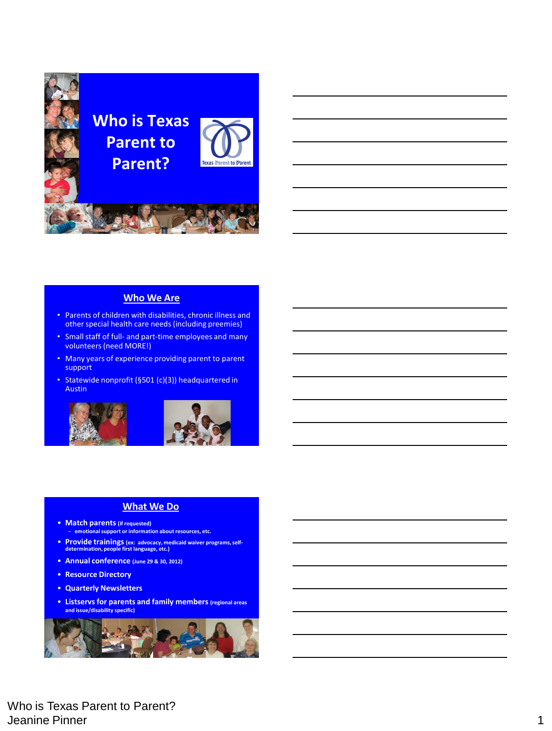

#### **Who We Are**

- Parents of children with disabilities, chronic illness and other special health care needs (including preemies)
- Small staff of full- and part-time employees and many volunteers (need MORE!)
- Many years of experience providing parent to parent support
- Statewide nonprofit (§501 (c)(3)) headquartered in Austin





### **What We Do**

- **Match parents (if requested)** – **emotional support or information about resources, etc.**
- **Provide trainings (ex: advocacy, medicaid waiver programs, self-determination, people first language, etc.)**
- **Annual conference (June 29 & 30, 2012)**
- **Resource Directory**
- **Quarterly Newsletters**
- **Listservs for parents and family members (regional areas and issue/disability specific)**



Who is Texas Parent to Parent? Jeanine Pinner 1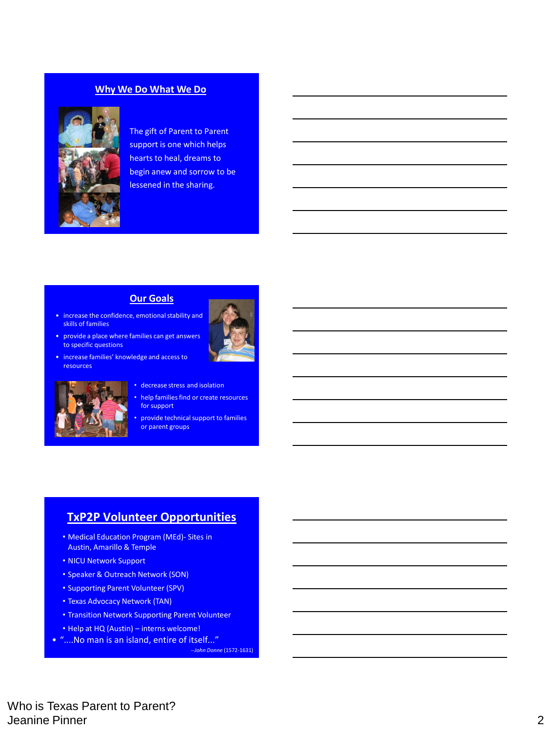### **Why We Do What We Do**



The gift of Parent to Parent support is one which helps hearts to heal, dreams to begin anew and sorrow to be lessened in the sharing.

### **Our Goals**

- increase the confidence, emotional stability and skills of families
- provide a place where families can get answers to specific questions
- increase families' knowledge and access to resources



- decrease stress and isolation
- help families find or create resources for support
- provide technical support to families or parent groups

## **TxP2P Volunteer Opportunities**

- Medical Education Program (MEd)- Sites in Austin, Amarillo & Temple
- NICU Network Support
- Speaker & Outreach Network (SON)
- Supporting Parent Volunteer (SPV)
- Texas Advocacy Network (TAN)
- Transition Network Supporting Parent Volunteer
- Help at HQ (Austin) interns welcome!
- "....No man is an island, entire of itself..."

*--John Donne* (1572-1631)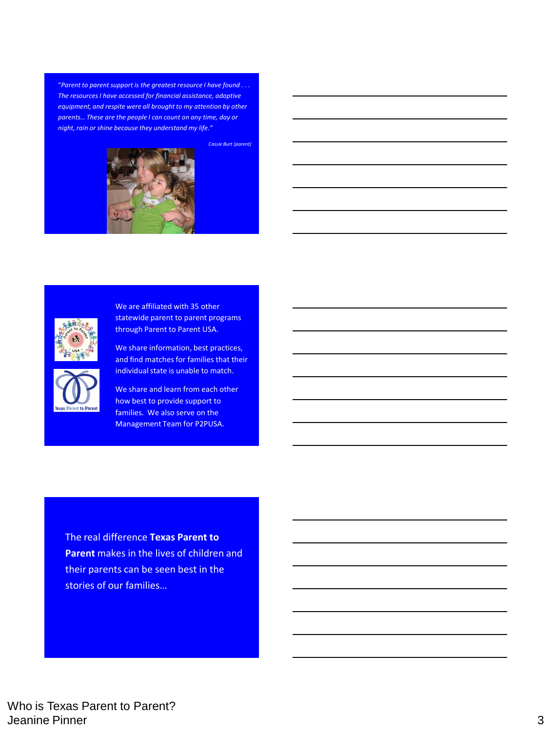"*Parent to parent support is the greatest resource I have found . . . The resources I have accessed for financial assistance, adaptive equipment, and respite were all brought to my attention by other parents… These are the people I can count on any time, day or night, rain or shine because they understand my life."* 



*Cassie Burt (parent)*



We are affiliated with 35 other statewide parent to parent programs through Parent to Parent USA.

We share information, best practices, and find matches for families that their individual state is unable to match.



We share and learn from each other how best to provide support to families. We also serve on the Management Team for P2PUSA.

The real difference **Texas Parent to Parent** makes in the lives of children and their parents can be seen best in the stories of our families…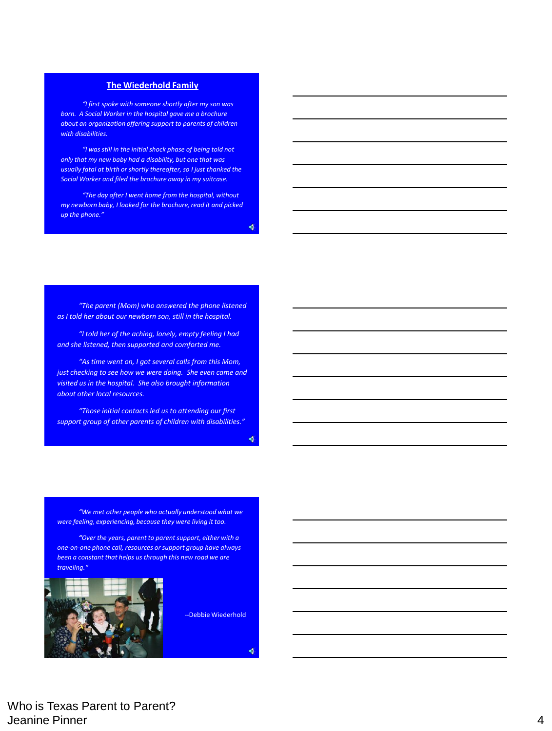### **The Wiederhold Family**

*"I first spoke with someone shortly after my son was born. A Social Worker in the hospital gave me a brochure about an organization offering support to parents of children with disabilities.*

*"I was still in the initial shock phase of being told not only that my new baby had a disability, but one that was usually fatal at birth or shortly thereafter, so I just thanked the Social Worker and filed the brochure away in my suitcase.* 

*"The day after I went home from the hospital, without my newborn baby, I looked for the brochure, read it and picked up the phone."*

 $\blacklozenge$ 

*"The parent (Mom) who answered the phone listened as I told her about our newborn son, still in the hospital.*

*"I told her of the aching, lonely, empty feeling I had and she listened, then supported and comforted me.* 

*"As time went on, I got several calls from this Mom, just checking to see how we were doing. She even came and visited us in the hospital. She also brought information about other local resources.*

*"Those initial contacts led us to attending our first support group of other parents of children with disabilities."*

 $\blacklozenge$ 

*"We met other people who actually understood what we were feeling, experiencing, because they were living it too.*

*"Over the years, parent to parent support, either with a one-on-one phone call, resources or support group have always been a constant that helps us through this new road we are traveling."*



--Debbie Wiederhold

 $\blacklozenge$ 

Who is Texas Parent to Parent? Jeanine Pinner 4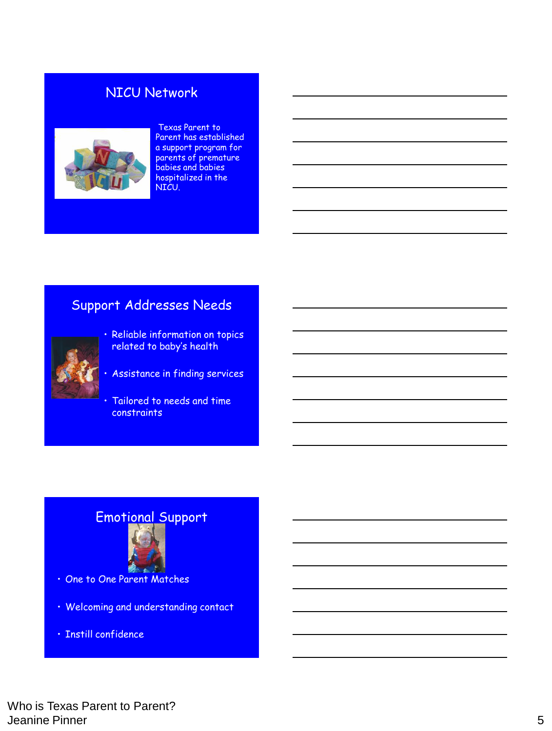## NICU Network



### Texas Parent to

Parent has established a support program for parents of premature babies and babies hospitalized in the NICU.

## Support Addresses Needs



- Reliable information on topics related to baby's health
- Assistance in finding services
- Tailored to needs and time constraints

## Emotional Support



- One to One Parent Matches
- Welcoming and understanding contact
- Instill confidence